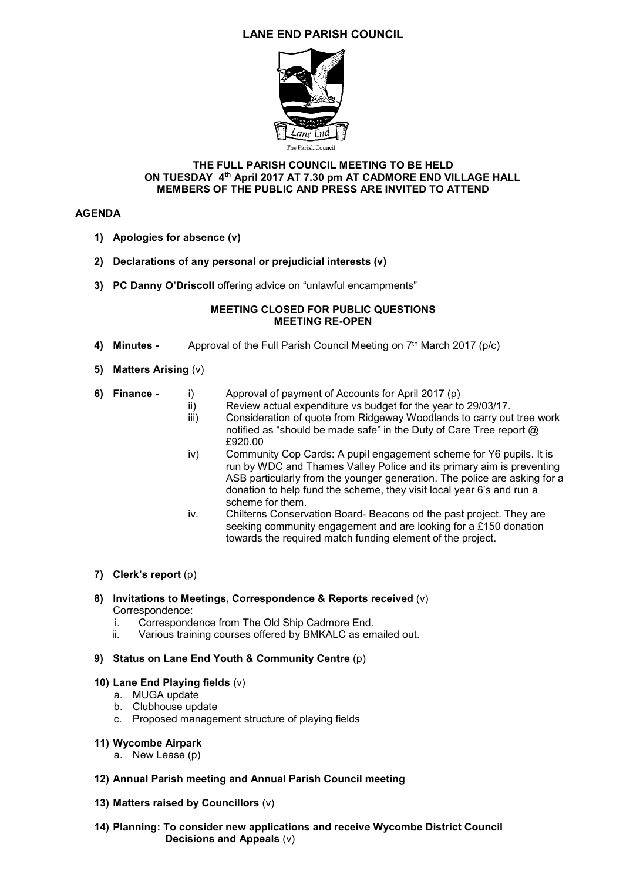# **LANE END PARISH COUNCIL**



#### **THE FULL PARISH COUNCIL MEETING TO BE HELD ON TUESDAY 4 th April 2017 AT 7.30 pm AT CADMORE END VILLAGE HALL MEMBERS OF THE PUBLIC AND PRESS ARE INVITED TO ATTEND**

# **AGENDA**

- **1) Apologies for absence (v)**
- **2) Declarations of any personal or prejudicial interests (v)**
- **3) PC Danny O'Driscoll** offering advice on "unlawful encampments"

#### **MEETING CLOSED FOR PUBLIC QUESTIONS MEETING RE-OPEN**

- **4) Minutes -** Approval of the Full Parish Council Meeting on 7<sup>th</sup> March 2017 (p/c)
- **5) Matters Arising** (v)

|  | 6) Finance - |  | Approval of payment of Accounts for April 2017 (p) |
|--|--------------|--|----------------------------------------------------|
|--|--------------|--|----------------------------------------------------|

- ii) Review actual expenditure vs budget for the year to 29/03/17.<br>iii) Consideration of quote from Ridgeway Woodlands to carry out
	- Consideration of quote from Ridgeway Woodlands to carry out tree work notified as "should be made safe" in the Duty of Care Tree report @ £920.00
- iv) Community Cop Cards: A pupil engagement scheme for Y6 pupils. It is run by WDC and Thames Valley Police and its primary aim is preventing ASB particularly from the younger generation. The police are asking for a donation to help fund the scheme, they visit local year 6's and run a scheme for them.
- iv. Chilterns Conservation Board- Beacons od the past project. They are seeking community engagement and are looking for a £150 donation towards the required match funding element of the project.
- **7) Clerk's report** (p)
- **8) Invitations to Meetings, Correspondence & Reports received** (v) Correspondence:
	- i. Correspondence from The Old Ship Cadmore End.
	- ii. Various training courses offered by BMKALC as emailed out.

# **9) Status on Lane End Youth & Community Centre** (p)

- **10) Lane End Playing fields** (v)
	- a. MUGA update
	- b. Clubhouse update
	- c. Proposed management structure of playing fields
- **11) Wycombe Airpark**
	- a. New Lease (p)
- **12) Annual Parish meeting and Annual Parish Council meeting**
- **13) Matters raised by Councillors** (v)
- **14) Planning: To consider new applications and receive Wycombe District Council Decisions and Appeals** (v)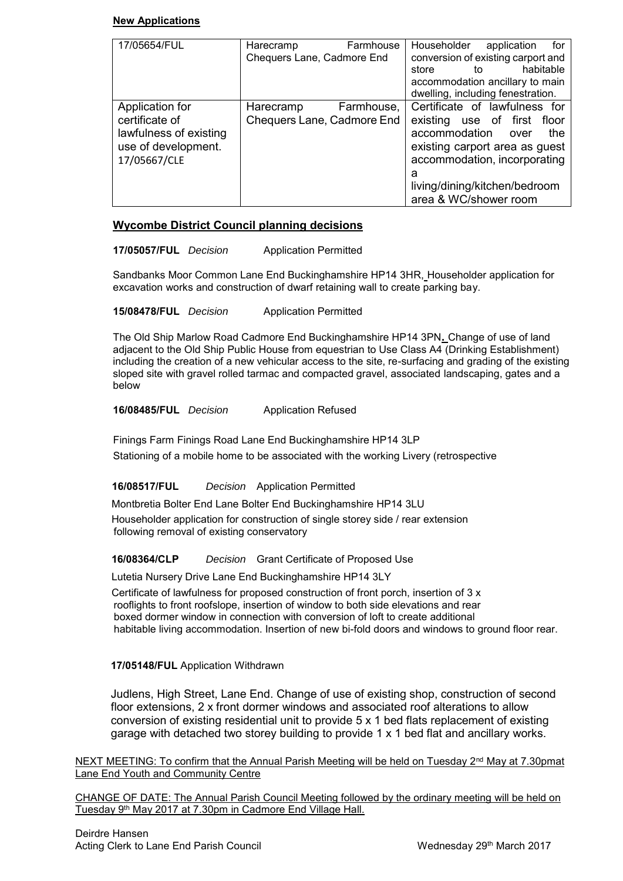#### **New Applications**

| 17/05654/FUL                                                                                       | Harecramp<br>Chequers Lane, Cadmore End | Farmhouse  | Householder<br>application<br>for<br>conversion of existing carport and<br>habitable<br>store<br>to<br>accommodation ancillary to main<br>dwelling, including fenestration.                                                   |
|----------------------------------------------------------------------------------------------------|-----------------------------------------|------------|-------------------------------------------------------------------------------------------------------------------------------------------------------------------------------------------------------------------------------|
| Application for<br>certificate of<br>lawfulness of existing<br>use of development.<br>17/05667/CLE | Harecramp<br>Chequers Lane, Cadmore End | Farmhouse, | Certificate of lawfulness for<br>existing use of first floor<br>accommodation<br>the<br>over<br>existing carport area as guest<br>accommodation, incorporating<br>а<br>living/dining/kitchen/bedroom<br>area & WC/shower room |

# **Wycombe District Council planning decisions**

**17/05057/FUL** *Decision* Application Permitted

Sandbanks Moor Common Lane End Buckinghamshire HP14 3HR, Householder application for excavation works and construction of dwarf retaining wall to create parking bay.

**15/08478/FUL** *Decision* Application Permitted

The Old Ship Marlow Road Cadmore End Buckinghamshire HP14 3PN**.** Change of use of land adjacent to the Old Ship Public House from equestrian to Use Class A4 (Drinking Establishment) including the creation of a new vehicular access to the site, re-surfacing and grading of the existing sloped site with gravel rolled tarmac and compacted gravel, associated landscaping, gates and a below

**16/08485/FUL** *Decision* Application Refused

Finings Farm Finings Road Lane End Buckinghamshire HP14 3LP Stationing of a mobile home to be associated with the working Livery (retrospective

# **16/08517/FUL** *Decision* Application Permitted

 Montbretia Bolter End Lane Bolter End Buckinghamshire HP14 3LU Householder application for construction of single storey side / rear extension following removal of existing conservatory

# **16/08364/CLP** *Decision* Grant Certificate of Proposed Use

Lutetia Nursery Drive Lane End Buckinghamshire HP14 3LY

 Certificate of lawfulness for proposed construction of front porch, insertion of 3 x rooflights to front roofslope, insertion of window to both side elevations and rear boxed dormer window in connection with conversion of loft to create additional habitable living accommodation. Insertion of new bi-fold doors and windows to ground floor rear.

# **17/05148/FUL** Application Withdrawn

Judlens, High Street, Lane End. [Change of use of existing shop, construction of second](http://publicaccess.wycombe.gov.uk/idoxpa-web/centralDistribution.do?caseType=Application&keyVal=OK64QTSCHOF00)  [floor extensions, 2 x front dormer windows and associated](http://publicaccess.wycombe.gov.uk/idoxpa-web/centralDistribution.do?caseType=Application&keyVal=OK64QTSCHOF00) roof alterations to allow [conversion of existing residential unit to provide 5 x 1 bed flats replacement of existing](http://publicaccess.wycombe.gov.uk/idoxpa-web/centralDistribution.do?caseType=Application&keyVal=OK64QTSCHOF00)  [garage with detached two storey building to provide 1 x 1 bed flat and ancillary works.](http://publicaccess.wycombe.gov.uk/idoxpa-web/centralDistribution.do?caseType=Application&keyVal=OK64QTSCHOF00) 

NEXT MEETING: To confirm that the Annual Parish Meeting will be held on Tuesday 2<sup>nd</sup> May at 7.30pmat Lane End Youth and Community Centre

CHANGE OF DATE: The Annual Parish Council Meeting followed by the ordinary meeting will be held on Tuesday 9th May 2017 at 7.30pm in Cadmore End Village Hall.